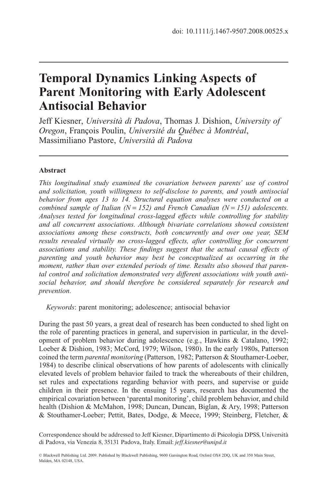# **Temporal Dynamics Linking Aspects of Parent Monitoring with Early Adolescent Antisocial Behavior**

Jeff Kiesner, *Università di Padova*, Thomas J. Dishion, *University of Oregon*, François Poulin, *Université du Québec à Montréal*, Massimiliano Pastore, *Università di Padova*

## **Abstract**

*This longitudinal study examined the covariation between parents' use of control and solicitation, youth willingness to self-disclose to parents, and youth antisocial behavior from ages 13 to 14. Structural equation analyses were conducted on a combined sample of Italian (N* = *152) and French Canadian (N* = *151) adolescents. Analyses tested for longitudinal cross-lagged effects while controlling for stability and all concurrent associations. Although bivariate correlations showed consistent associations among these constructs, both concurrently and over one year, SEM results revealed virtually no cross-lagged effects, after controlling for concurrent associations and stability. These findings suggest that the actual causal effects of parenting and youth behavior may best be conceptualized as occurring in the moment, rather than over extended periods of time. Results also showed that parental control and solicitation demonstrated very different associations with youth antisocial behavior, and should therefore be considered separately for research and prevention.*

*Keywords*: parent monitoring; adolescence; antisocial behavior

During the past 50 years, a great deal of research has been conducted to shed light on the role of parenting practices in general, and supervision in particular, in the development of problem behavior during adolescence (e.g., Hawkins & Catalano, 1992; Loeber & Dishion, 1983; McCord, 1979; Wilson, 1980). In the early 1980s, Patterson coined the term *parental monitoring* (Patterson, 1982; Patterson & Stouthamer-Loeber, 1984) to describe clinical observations of how parents of adolescents with clinically elevated levels of problem behavior failed to track the whereabouts of their children, set rules and expectations regarding behavior with peers, and supervise or guide children in their presence. In the ensuing 15 years, research has documented the empirical covariation between 'parental monitoring', child problem behavior, and child health (Dishion & McMahon, 1998; Duncan, Duncan, Biglan, & Ary, 1998; Patterson & Stouthamer-Loeber; Pettit, Bates, Dodge, & Meece, 1999; Steinberg, Fletcher, &

Correspondence should be addressed to Jeff Kiesner, Dipartimento di Psicologia DPSS, Università di Padova, via Venezia 8, 35131 Padova, Italy. Email: *jeff[.kiesner@unipd.it](mailto:kiesner@unipd.it)*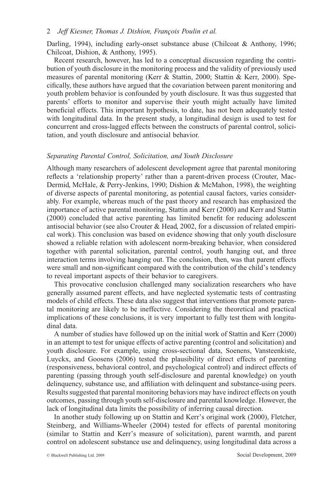Darling, 1994), including early-onset substance abuse (Chilcoat & Anthony, 1996; Chilcoat, Dishion, & Anthony, 1995).

Recent research, however, has led to a conceptual discussion regarding the contribution of youth disclosure in the monitoring process and the validity of previously used measures of parental monitoring (Kerr & Stattin, 2000; Stattin & Kerr, 2000). Specifically, these authors have argued that the covariation between parent monitoring and youth problem behavior is confounded by youth disclosure. It was thus suggested that parents' efforts to monitor and supervise their youth might actually have limited beneficial effects. This important hypothesis, to date, has not been adequately tested with longitudinal data. In the present study, a longitudinal design is used to test for concurrent and cross-lagged effects between the constructs of parental control, solicitation, and youth disclosure and antisocial behavior.

#### *Separating Parental Control, Solicitation, and Youth Disclosure*

Although many researchers of adolescent development agree that parental monitoring reflects a 'relationship property' rather than a parent-driven process (Crouter, Mac-Dermid, McHale, & Perry-Jenkins, 1990; Dishion & McMahon, 1998), the weighting of diverse aspects of parental monitoring, as potential causal factors, varies considerably. For example, whereas much of the past theory and research has emphasized the importance of active parental monitoring, Stattin and Kerr (2000) and Kerr and Stattin (2000) concluded that active parenting has limited benefit for reducing adolescent antisocial behavior (see also Crouter & Head, 2002, for a discussion of related empirical work). This conclusion was based on evidence showing that only youth disclosure showed a reliable relation with adolescent norm-breaking behavior, when considered together with parental solicitation, parental control, youth hanging out, and three interaction terms involving hanging out. The conclusion, then, was that parent effects were small and non-significant compared with the contribution of the child's tendency to reveal important aspects of their behavior to caregivers.

This provocative conclusion challenged many socialization researchers who have generally assumed parent effects, and have neglected systematic tests of contrasting models of child effects. These data also suggest that interventions that promote parental monitoring are likely to be ineffective. Considering the theoretical and practical implications of these conclusions, it is very important to fully test them with longitudinal data.

A number of studies have followed up on the initial work of Stattin and Kerr (2000) in an attempt to test for unique effects of active parenting (control and solicitation) and youth disclosure. For example, using cross-sectional data, Soenens, Vansteenkiste, Luyckx, and Goosens (2006) tested the plausibility of direct effects of parenting (responsiveness, behavioral control, and psychological control) and indirect effects of parenting (passing through youth self-disclosure and parental knowledge) on youth delinquency, substance use, and affiliation with delinquent and substance-using peers. Results suggested that parental monitoring behaviors may have indirect effects on youth outcomes, passing through youth self-disclosure and parental knowledge. However, the lack of longitudinal data limits the possibility of inferring causal direction.

In another study following up on Stattin and Kerr's original work (2000), Fletcher, Steinberg, and Williams-Wheeler (2004) tested for effects of parental monitoring (similar to Stattin and Kerr's measure of solicitation), parent warmth, and parent control on adolescent substance use and delinquency, using longitudinal data across a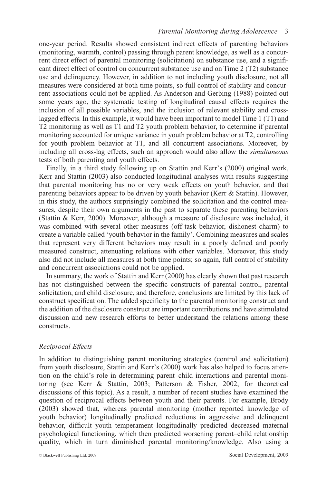one-year period. Results showed consistent indirect effects of parenting behaviors (monitoring, warmth, control) passing through parent knowledge, as well as a concurrent direct effect of parental monitoring (solicitation) on substance use, and a significant direct effect of control on concurrent substance use and on Time 2 (T2) substance use and delinquency. However, in addition to not including youth disclosure, not all measures were considered at both time points, so full control of stability and concurrent associations could not be applied. As Anderson and Gerbing (1988) pointed out some years ago, the systematic testing of longitudinal causal effects requires the inclusion of all possible variables, and the inclusion of relevant stability and crosslagged effects. In this example, it would have been important to model Time 1 (T1) and T2 monitoring as well as T1 and T2 youth problem behavior, to determine if parental monitoring accounted for unique variance in youth problem behavior at T2, controlling for youth problem behavior at T1, and all concurrent associations. Moreover, by including all cross-lag effects, such an approach would also allow the *simultaneous* tests of both parenting and youth effects.

Finally, in a third study following up on Stattin and Kerr's (2000) original work, Kerr and Stattin (2003) also conducted longitudinal analyses with results suggesting that parental monitoring has no or very weak effects on youth behavior, and that parenting behaviors appear to be driven by youth behavior (Kerr & Stattin). However, in this study, the authors surprisingly combined the solicitation and the control measures, despite their own arguments in the past to separate these parenting behaviors (Stattin & Kerr, 2000). Moreover, although a measure of disclosure was included, it was combined with several other measures (off-task behavior, dishonest charm) to create a variable called 'youth behavior in the family'. Combining measures and scales that represent very different behaviors may result in a poorly defined and poorly measured construct, attenuating relations with other variables. Moreover, this study also did not include all measures at both time points; so again, full control of stability and concurrent associations could not be applied.

In summary, the work of Stattin and Kerr (2000) has clearly shown that past research has not distinguished between the specific constructs of parental control, parental solicitation, and child disclosure, and therefore, conclusions are limited by this lack of construct specification. The added specificity to the parental monitoring construct and the addition of the disclosure construct are important contributions and have stimulated discussion and new research efforts to better understand the relations among these constructs.

## *Reciprocal Effects*

In addition to distinguishing parent monitoring strategies (control and solicitation) from youth disclosure, Stattin and Kerr's (2000) work has also helped to focus attention on the child's role in determining parent–child interactions and parental monitoring (see Kerr & Stattin, 2003; Patterson & Fisher, 2002, for theoretical discussions of this topic). As a result, a number of recent studies have examined the question of reciprocal effects between youth and their parents. For example, Brody (2003) showed that, whereas parental monitoring (mother reported knowledge of youth behavior) longitudinally predicted reductions in aggressive and delinquent behavior, difficult youth temperament longitudinally predicted decreased maternal psychological functioning, which then predicted worsening parent–child relationship quality, which in turn diminished parental monitoring/knowledge. Also using a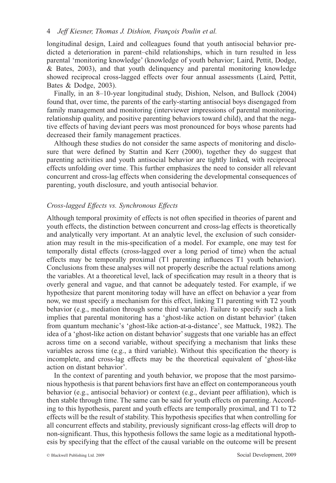longitudinal design, Laird and colleagues found that youth antisocial behavior predicted a deterioration in parent–child relationships, which in turn resulted in less parental 'monitoring knowledge' (knowledge of youth behavior; Laird, Pettit, Dodge, & Bates, 2003), and that youth delinquency and parental monitoring knowledge showed reciprocal cross-lagged effects over four annual assessments (Laird, Pettit, Bates & Dodge, 2003).

Finally, in an 8–10-year longitudinal study, Dishion, Nelson, and Bullock (2004) found that, over time, the parents of the early-starting antisocial boys disengaged from family management and monitoring (interviewer impressions of parental monitoring, relationship quality, and positive parenting behaviors toward child), and that the negative effects of having deviant peers was most pronounced for boys whose parents had decreased their family management practices.

Although these studies do not consider the same aspects of monitoring and disclosure that were defined by Stattin and Kerr (2000), together they do suggest that parenting activities and youth antisocial behavior are tightly linked, with reciprocal effects unfolding over time. This further emphasizes the need to consider all relevant concurrent and cross-lag effects when considering the developmental consequences of parenting, youth disclosure, and youth antisocial behavior.

## *Cross-lagged Effects vs. Synchronous Effects*

Although temporal proximity of effects is not often specified in theories of parent and youth effects, the distinction between concurrent and cross-lag effects is theoretically and analytically very important. At an analytic level, the exclusion of such consideration may result in the mis-specification of a model. For example, one may test for temporally distal effects (cross-lagged over a long period of time) when the actual effects may be temporally proximal (T1 parenting influences T1 youth behavior). Conclusions from these analyses will not properly describe the actual relations among the variables. At a theoretical level, lack of specification may result in a theory that is overly general and vague, and that cannot be adequately tested. For example, if we hypothesize that parent monitoring today will have an effect on behavior a year from now, we must specify a mechanism for this effect, linking T1 parenting with T2 youth behavior (e.g., mediation through some third variable). Failure to specify such a link implies that parental monitoring has a 'ghost-like action on distant behavior' (taken from quantum mechanic's 'ghost-like action-at-a-distance', see Mattuck, 1982). The idea of a 'ghost-like action on distant behavior' suggests that one variable has an effect across time on a second variable, without specifying a mechanism that links these variables across time (e.g., a third variable). Without this specification the theory is incomplete, and cross-lag effects may be the theoretical equivalent of 'ghost-like action on distant behavior'.

In the context of parenting and youth behavior, we propose that the most parsimonious hypothesis is that parent behaviors first have an effect on contemporaneous youth behavior (e.g., antisocial behavior) or context (e.g., deviant peer affiliation), which is then stable through time. The same can be said for youth effects on parenting. According to this hypothesis, parent and youth effects are temporally proximal, and T1 to T2 effects will be the result of stability. This hypothesis specifies that when controlling for all concurrent effects and stability, previously significant cross-lag effects will drop to non-significant. Thus, this hypothesis follows the same logic as a meditational hypothesis by specifying that the effect of the causal variable on the outcome will be present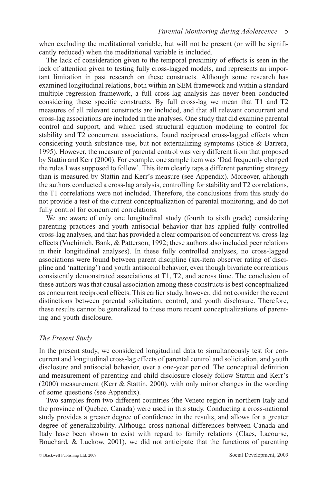when excluding the meditational variable, but will not be present (or will be significantly reduced) when the meditational variable is included.

The lack of consideration given to the temporal proximity of effects is seen in the lack of attention given to testing fully cross-lagged models, and represents an important limitation in past research on these constructs. Although some research has examined longitudinal relations, both within an SEM framework and within a standard multiple regression framework, a full cross-lag analysis has never been conducted considering these specific constructs. By full cross-lag we mean that T1 and T2 measures of all relevant constructs are included, and that all relevant concurrent and cross-lag associations are included in the analyses. One study that did examine parental control and support, and which used structural equation modeling to control for stability and T2 concurrent associations, found reciprocal cross-lagged effects when considering youth substance use, but not externalizing symptoms (Stice & Barrera, 1995). However, the measure of parental control was very different from that proposed by Stattin and Kerr (2000). For example, one sample item was 'Dad frequently changed the rules I was supposed to follow'. This item clearly taps a different parenting strategy than is measured by Stattin and Kerr's measure (see Appendix). Moreover, although the authors conducted a cross-lag analysis, controlling for stability and T2 correlations, the T1 correlations were not included. Therefore, the conclusions from this study do not provide a test of the current conceptualization of parental monitoring, and do not fully control for concurrent correlations.

We are aware of only one longitudinal study (fourth to sixth grade) considering parenting practices and youth antisocial behavior that has applied fully controlled cross-lag analyses, and that has provided a clear comparison of concurrent vs. cross-lag effects (Vuchinich, Bank, & Patterson, 1992; these authors also included peer relations in their longitudinal analyses). In these fully controlled analyses, no cross-lagged associations were found between parent discipline (six-item observer rating of discipline and 'nattering') and youth antisocial behavior, even though bivariate correlations consistently demonstrated associations at T1, T2, and across time. The conclusion of these authors was that causal association among these constructs is best conceptualized as concurrent reciprocal effects. This earlier study, however, did not consider the recent distinctions between parental solicitation, control, and youth disclosure. Therefore, these results cannot be generalized to these more recent conceptualizations of parenting and youth disclosure.

#### *The Present Study*

In the present study, we considered longitudinal data to simultaneously test for concurrent and longitudinal cross-lag effects of parental control and solicitation, and youth disclosure and antisocial behavior, over a one-year period. The conceptual definition and measurement of parenting and child disclosure closely follow Stattin and Kerr's (2000) measurement (Kerr & Stattin, 2000), with only minor changes in the wording of some questions (see Appendix).

Two samples from two different countries (the Veneto region in northern Italy and the province of Quebec, Canada) were used in this study. Conducting a cross-national study provides a greater degree of confidence in the results, and allows for a greater degree of generalizability. Although cross-national differences between Canada and Italy have been shown to exist with regard to family relations (Claes, Lacourse, Bouchard, & Luckow, 2001), we did not anticipate that the functions of parenting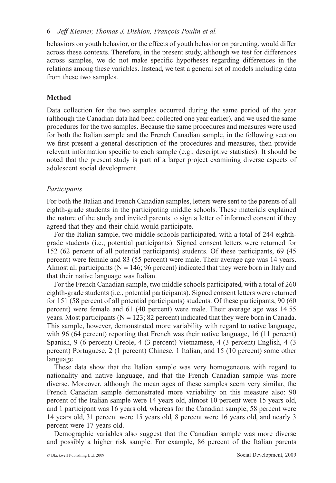behaviors on youth behavior, or the effects of youth behavior on parenting, would differ across these contexts. Therefore, in the present study, although we test for differences across samples, we do not make specific hypotheses regarding differences in the relations among these variables. Instead, we test a general set of models including data from these two samples.

## **Method**

Data collection for the two samples occurred during the same period of the year (although the Canadian data had been collected one year earlier), and we used the same procedures for the two samples. Because the same procedures and measures were used for both the Italian sample and the French Canadian sample, in the following section we first present a general description of the procedures and measures, then provide relevant information specific to each sample (e.g., descriptive statistics). It should be noted that the present study is part of a larger project examining diverse aspects of adolescent social development.

## *Participants*

For both the Italian and French Canadian samples, letters were sent to the parents of all eighth-grade students in the participating middle schools. These materials explained the nature of the study and invited parents to sign a letter of informed consent if they agreed that they and their child would participate.

For the Italian sample, two middle schools participated, with a total of 244 eighthgrade students (i.e., potential participants). Signed consent letters were returned for 152 (62 percent of all potential participants) students. Of these participants, 69 (45 percent) were female and 83 (55 percent) were male. Their average age was 14 years. Almost all participants ( $N = 146$ ; 96 percent) indicated that they were born in Italy and that their native language was Italian.

For the French Canadian sample, two middle schools participated, with a total of 260 eighth-grade students (i.e., potential participants). Signed consent letters were returned for 151 (58 percent of all potential participants) students. Of these participants, 90 (60 percent) were female and 61 (40 percent) were male. Their average age was 14.55 years. Most participants ( $N = 123$ ; 82 percent) indicated that they were born in Canada. This sample, however, demonstrated more variability with regard to native language, with 96 (64 percent) reporting that French was their native language, 16 (11 percent) Spanish, 9 (6 percent) Creole, 4 (3 percent) Vietnamese, 4 (3 percent) English, 4 (3 percent) Portuguese, 2 (1 percent) Chinese, 1 Italian, and 15 (10 percent) some other language.

These data show that the Italian sample was very homogeneous with regard to nationality and native language, and that the French Canadian sample was more diverse. Moreover, although the mean ages of these samples seem very similar, the French Canadian sample demonstrated more variability on this measure also: 90 percent of the Italian sample were 14 years old, almost 10 percent were 15 years old, and 1 participant was 16 years old, whereas for the Canadian sample, 58 percent were 14 years old, 31 percent were 15 years old, 8 percent were 16 years old, and nearly 3 percent were 17 years old.

Demographic variables also suggest that the Canadian sample was more diverse and possibly a higher risk sample. For example, 86 percent of the Italian parents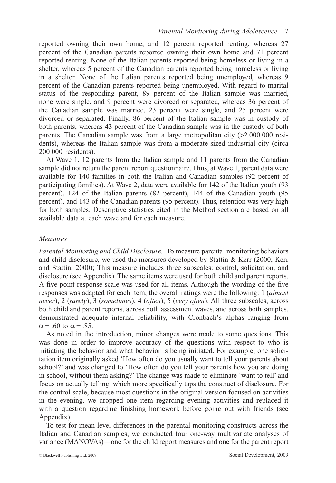reported owning their own home, and 12 percent reported renting, whereas 27 percent of the Canadian parents reported owning their own home and 71 percent reported renting. None of the Italian parents reported being homeless or living in a shelter, whereas 5 percent of the Canadian parents reported being homeless or living in a shelter. None of the Italian parents reported being unemployed, whereas 9 percent of the Canadian parents reported being unemployed. With regard to marital status of the responding parent, 89 percent of the Italian sample was married, none were single, and 9 percent were divorced or separated, whereas 36 percent of the Canadian sample was married, 23 percent were single, and 25 percent were divorced or separated. Finally, 86 percent of the Italian sample was in custody of both parents, whereas 43 percent of the Canadian sample was in the custody of both parents. The Canadian sample was from a large metropolitan city (>2 000 000 residents), whereas the Italian sample was from a moderate-sized industrial city (circa 200 000 residents).

At Wave 1, 12 parents from the Italian sample and 11 parents from the Canadian sample did not return the parent report questionnaire. Thus, at Wave 1, parent data were available for 140 families in both the Italian and Canadian samples (92 percent of participating families). At Wave 2, data were available for 142 of the Italian youth (93 percent), 124 of the Italian parents (82 percent), 144 of the Canadian youth (95 percent), and 143 of the Canadian parents (95 percent). Thus, retention was very high for both samples. Descriptive statistics cited in the Method section are based on all available data at each wave and for each measure.

#### *Measures*

*Parental Monitoring and Child Disclosure.* To measure parental monitoring behaviors and child disclosure, we used the measures developed by Stattin & Kerr (2000; Kerr and Stattin, 2000); This measure includes three subscales: control, solicitation, and disclosure (see Appendix). The same items were used for both child and parent reports. A five-point response scale was used for all items. Although the wording of the five responses was adapted for each item, the overall ratings were the following: 1 (*almost never*), 2 (*rarely*), 3 (*sometimes*), 4 (*often*), 5 (*very often*). All three subscales, across both child and parent reports, across both assessment waves, and across both samples, demonstrated adequate internal reliability, with Cronbach's alphas ranging from  $\alpha = .60$  to  $\alpha = .85$ .

As noted in the introduction, minor changes were made to some questions. This was done in order to improve accuracy of the questions with respect to who is initiating the behavior and what behavior is being initiated. For example, one solicitation item originally asked 'How often do you usually want to tell your parents about school?' and was changed to 'How often do you tell your parents how you are doing in school, without them asking?' The change was made to eliminate 'want to tell' and focus on actually telling, which more specifically taps the construct of disclosure. For the control scale, because most questions in the original version focused on activities in the evening, we dropped one item regarding evening activities and replaced it with a question regarding finishing homework before going out with friends (see Appendix).

To test for mean level differences in the parental monitoring constructs across the Italian and Canadian samples, we conducted four one-way multivariate analyses of variance (MANOVAs)—one for the child report measures and one for the parent report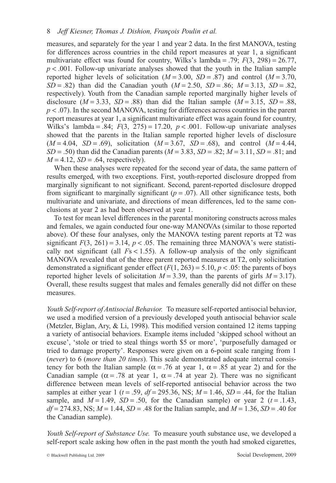measures, and separately for the year 1 and year 2 data. In the first MANOVA, testing for differences across countries in the child report measures at year 1, a significant multivariate effect was found for country, Wilks's lambda =  $.79$ ;  $F(3, 298) = 26.77$ ,  $p < .001$ . Follow-up univariate analyses showed that the youth in the Italian sample reported higher levels of solicitation ( $M = 3.00$ ,  $SD = .87$ ) and control ( $M = 3.70$ , *SD* = .82) than did the Canadian youth (*M* = 2.50, *SD* = .86; *M* = 3.13, *SD* = .82, respectively). Youth from the Canadian sample reported marginally higher levels of disclosure ( $M = 3.33$ ,  $SD = .88$ ) than did the Italian sample ( $M = 3.15$ ,  $SD = .88$ ,  $p < .07$ ). In the second MANOVA, testing for differences across countries in the parent report measures at year 1, a significant multivariate effect was again found for country, Wilks's lambda = .84;  $F(3, 275) = 17.20$ ,  $p < .001$ . Follow-up univariate analyses showed that the parents in the Italian sample reported higher levels of disclosure  $(M = 4.04, SD = .69)$ , solicitation  $(M = 3.67, SD = .68)$ , and control  $(M = 4.44,$ *SD* = .50) than did the Canadian parents (*M* = 3.83, *SD* = .82; *M* = 3.11, *SD* = .81; and  $M = 4.12$ ,  $SD = .64$ , respectively).

When these analyses were repeated for the second year of data, the same pattern of results emerged, with two exceptions. First, youth-reported disclosure dropped from marginally significant to not significant. Second, parent-reported disclosure dropped from significant to marginally significant  $(p = .07)$ . All other significance tests, both multivariate and univariate, and directions of mean differences, led to the same conclusions at year 2 as had been observed at year 1.

To test for mean level differences in the parental monitoring constructs across males and females, we again conducted four one-way MANOVAs (similar to those reported above). Of these four analyses, only the MANOVA testing parent reports at T2 was significant  $F(3, 261) = 3.14$ ,  $p < .05$ . The remaining three MANOVA's were statistically not significant (all  $Fs < 1.55$ ). A follow-up analysis of the only significant MANOVA revealed that of the three parent reported measures at T2, only solicitation demonstrated a significant gender effect  $(F(1, 263) = 5.10, p < .05$ : the parents of boys reported higher levels of solicitation  $M = 3.39$ , than the parents of girls  $M = 3.17$ . Overall, these results suggest that males and females generally did not differ on these measures.

*Youth Self-report of Antisocial Behavior.* To measure self-reported antisocial behavior, we used a modified version of a previously developed youth antisocial behavior scale (Metzler, Biglan, Ary, & Li, 1998). This modified version contained 12 items tapping a variety of antisocial behaviors. Example items included 'skipped school without an excuse', 'stole or tried to steal things worth \$5 or more', 'purposefully damaged or tried to damage property'. Responses were given on a 6-point scale ranging from 1 (*never*) to 6 (*more than 20 times*). This scale demonstrated adequate internal consistency for both the Italian sample ( $\alpha$  = .76 at year 1,  $\alpha$  = .85 at year 2) and for the Canadian sample ( $\alpha$  = .78 at year 1,  $\alpha$  = .74 at year 2). There was no significant difference between mean levels of self-reported antisocial behavior across the two samples at either year 1 ( $t = .59$ ,  $df = 295.36$ , NS;  $M = 1.46$ ,  $SD = .44$ , for the Italian sample, and  $M = 1.49$ ,  $SD = .50$ , for the Canadian sample) or year 2 ( $t = .1.43$ ,  $df = 274.83$ , NS;  $M = 1.44$ ,  $SD = .48$  for the Italian sample, and  $M = 1.36$ ,  $SD = .40$  for the Canadian sample).

*Youth Self-report of Substance Use.* To measure youth substance use, we developed a self-report scale asking how often in the past month the youth had smoked cigarettes,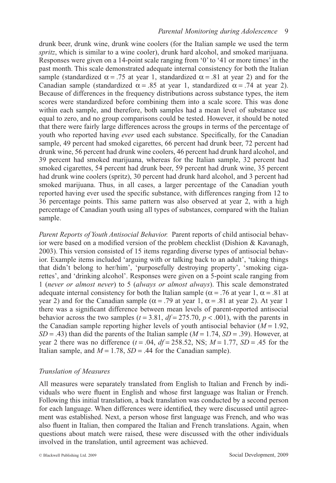drunk beer, drunk wine, drunk wine coolers (for the Italian sample we used the term *spritz*, which is similar to a wine cooler), drunk hard alcohol, and smoked marijuana. Responses were given on a 14-point scale ranging from '0' to '41 or more times' in the past month. This scale demonstrated adequate internal consistency for both the Italian sample (standardized  $\alpha = .75$  at year 1, standardized  $\alpha = .81$  at year 2) and for the Canadian sample (standardized  $\alpha = .85$  at year 1, standardized  $\alpha = .74$  at year 2). Because of differences in the frequency distributions across substance types, the item scores were standardized before combining them into a scale score. This was done within each sample, and therefore, both samples had a mean level of substance use equal to zero, and no group comparisons could be tested. However, it should be noted that there were fairly large differences across the groups in terms of the percentage of youth who reported having *ever* used each substance. Specifically, for the Canadian sample, 49 percent had smoked cigarettes, 66 percent had drunk beer, 72 percent had drunk wine, 56 percent had drunk wine coolers, 46 percent had drunk hard alcohol, and 39 percent had smoked marijuana, whereas for the Italian sample, 32 percent had smoked cigarettes, 54 percent had drunk beer, 59 percent had drunk wine, 35 percent had drunk wine coolers (spritz), 30 percent had drunk hard alcohol, and 3 percent had smoked marijuana. Thus, in all cases, a larger percentage of the Canadian youth reported having ever used the specific substance, with differences ranging from 12 to 36 percentage points. This same pattern was also observed at year 2, with a high percentage of Canadian youth using all types of substances, compared with the Italian sample.

*Parent Reports of Youth Antisocial Behavior.* Parent reports of child antisocial behavior were based on a modified version of the problem checklist (Dishion & Kavanagh, 2003). This version consisted of 15 items regarding diverse types of antisocial behavior. Example items included 'arguing with or talking back to an adult', 'taking things that didn't belong to her/him', 'purposefully destroying property', 'smoking cigarettes', and 'drinking alcohol'. Responses were given on a 5-point scale ranging from 1 (*never or almost never*) to 5 (*always or almost always*). This scale demonstrated adequate internal consistency for both the Italian sample ( $\alpha$  = .76 at year 1,  $\alpha$  = .81 at year 2) and for the Canadian sample ( $\alpha = .79$  at year 1,  $\alpha = .81$  at year 2). At year 1 there was a significant difference between mean levels of parent-reported antisocial behavior across the two samples ( $t = 3.81$ ,  $df = 275.70$ ,  $p < .001$ ), with the parents in the Canadian sample reporting higher levels of youth antisocial behavior  $(M = 1.92)$ ,  $SD = .43$ ) than did the parents of the Italian sample ( $M = 1.74$ ,  $SD = .39$ ). However, at year 2 there was no difference  $(t = .04, df = 258.52, NS; M = 1.77, SD = .45$  for the Italian sample, and  $M = 1.78$ ,  $SD = .44$  for the Canadian sample).

## *Translation of Measures*

All measures were separately translated from English to Italian and French by individuals who were fluent in English and whose first language was Italian or French. Following this initial translation, a back translation was conducted by a second person for each language. When differences were identified, they were discussed until agreement was established. Next, a person whose first language was French, and who was also fluent in Italian, then compared the Italian and French translations. Again, when questions about match were raised, these were discussed with the other individuals involved in the translation, until agreement was achieved.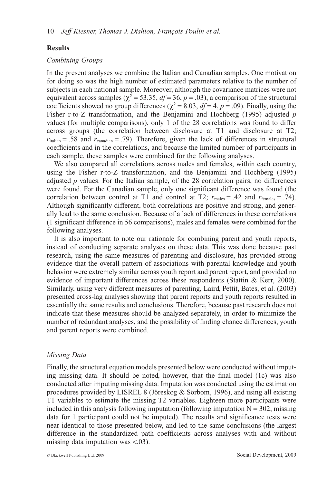#### **Results**

## *Combining Groups*

In the present analyses we combine the Italian and Canadian samples. One motivation for doing so was the high number of estimated parameters relative to the number of subjects in each national sample. Moreover, although the covariance matrices were not equivalent across samples ( $\chi^2$  = 53.35,  $df$  = 36,  $p$  = .03), a comparison of the structural coefficients showed no group differences ( $\chi^2 = 8.03$ ,  $df = 4$ ,  $p = .09$ ). Finally, using the Fisher r-to-Z transformation, and the Benjamini and Hochberg (1995) adjusted *p* values (for multiple comparisons), only 1 of the 28 correlations was found to differ across groups (the correlation between disclosure at T1 and disclosure at T2;  $r_{\text{italian}} = .58$  and  $r_{\text{canadian}} = .79$ ). Therefore, given the lack of differences in structural coefficients and in the correlations, and because the limited number of participants in each sample, these samples were combined for the following analyses.

We also compared all correlations across males and females, within each country, using the Fisher r-to-Z transformation, and the Benjamini and Hochberg (1995) adjusted *p* values. For the Italian sample, of the 28 correlation pairs, no differences were found. For the Canadian sample, only one significant difference was found (the correlation between control at T1 and control at T2;  $r_{\text{males}} = .42$  and  $r_{\text{females}} = .74$ ). Although significantly different, both correlations are positive and strong, and generally lead to the same conclusion. Because of a lack of differences in these correlations (1 significant difference in 56 comparisons), males and females were combined for the following analyses.

It is also important to note our rationale for combining parent and youth reports, instead of conducting separate analyses on these data. This was done because past research, using the same measures of parenting and disclosure, has provided strong evidence that the overall pattern of associations with parental knowledge and youth behavior were extremely similar across youth report and parent report, and provided no evidence of important differences across these respondents (Stattin & Kerr, 2000). Similarly, using very different measures of parenting, Laird, Pettit, Bates, et al. (2003) presented cross-lag analyses showing that parent reports and youth reports resulted in essentially the same results and conclusions. Therefore, because past research does not indicate that these measures should be analyzed separately, in order to minimize the number of redundant analyses, and the possibility of finding chance differences, youth and parent reports were combined.

#### *Missing Data*

Finally, the structural equation models presented below were conducted without imputing missing data. It should be noted, however, that the final model (1c) was also conducted after imputing missing data. Imputation was conducted using the estimation procedures provided by LISREL 8 (Jöreskog & Sörbom, 1996), and using all existing T1 variables to estimate the missing T2 variables. Eighteen more participants were included in this analysis following imputation (following imputation  $N = 302$ , missing data for 1 participant could not be imputed). The results and significance tests were near identical to those presented below, and led to the same conclusions (the largest difference in the standardized path coefficients across analyses with and without missing data imputation was  $\lt$ .03).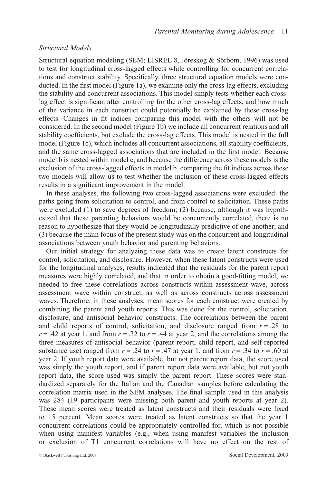## *Structural Models*

Structural equation modeling (SEM; LISREL 8, Jöreskog & Sörbom, 1996) was used to test for longitudinal cross-lagged effects while controlling for concurrent correlations and construct stability. Specifically, three structural equation models were conducted. In the first model (Figure 1a), we examine only the cross-lag effects, excluding the stability and concurrent associations. This model simply tests whether each crosslag effect is significant after controlling for the other cross-lag effects, and how much of the variance in each construct could potentially be explained by these cross-lag effects. Changes in fit indices comparing this model with the others will not be considered. In the second model (Figure 1b) we include all concurrent relations and all stability coefficients, but exclude the cross-lag effects. This model is nested in the full model (Figure 1c), which includes all concurrent associations, all stability coefficients, and the same cross-lagged associations that are included in the first model. Because model b is nested within model c, and because the difference across these models is the exclusion of the cross-lagged effects in model b, comparing the fit indices across these two models will allow us to test whether the inclusion of these cross-lagged effects results in a significant improvement in the model.

In these analyses, the following two cross-lagged associations were excluded: the paths going from solicitation to control, and from control to solicitation. These paths were excluded (1) to save degrees of freedom; (2) because, although it was hypothesized that these parenting behaviors would be concurrently correlated, there is no reason to hypothesize that they would be longitudinally predictive of one another; and (3) because the main focus of the present study was on the concurrent and longitudinal associations between youth behavior and parenting behaviors.

Our initial strategy for analyzing these data was to create latent constructs for control, solicitation, and disclosure. However, when these latent constructs were used for the longitudinal analyses, results indicated that the residuals for the parent report measures were highly correlated, and that in order to obtain a good-fitting model, we needed to free these correlations across constructs within assessment wave, across assessment wave within construct, as well as across constructs across assessment waves. Therefore, in these analyses, mean scores for each construct were created by combining the parent and youth reports. This was done for the control, solicitation, disclosure, and antisocial behavior constructs. The correlations between the parent and child reports of control, solicitation, and disclosure ranged from  $r = .28$  to  $r = .42$  at year 1, and from  $r = .32$  to  $r = .44$  at year 2, and the correlations among the three measures of antisocial behavior (parent report, child report, and self-reported substance use) ranged from  $r = .24$  to  $r = .47$  at year 1, and from  $r = .34$  to  $r = .60$  at year 2. If youth report data were available, but not parent report data, the score used was simply the youth report, and if parent report data were available, but not youth report data, the score used was simply the parent report. These scores were standardized separately for the Italian and the Canadian samples before calculating the correlation matrix used in the SEM analyses. The final sample used in this analysis was 284 (19 participants were missing both parent and youth reports at year 2). These mean scores were treated as latent constructs and their residuals were fixed to 15 percent. Mean scores were treated as latent constructs so that the year 1 concurrent correlations could be appropriately controlled for, which is not possible when using manifest variables (e.g., when using manifest variables the inclusion or exclusion of T1 concurrent correlations will have no effect on the rest of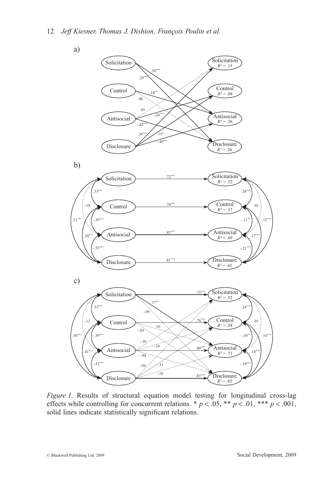

*Figure 1.* Results of structural equation model testing for longitudinal cross-lag effects while controlling for concurrent relations.  $* p < .05$ ,  $* p < .01$ ,  $** p < .001$ , solid lines indicate statistically significant relations.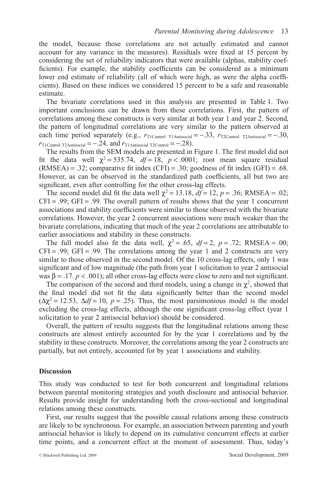the model, because those correlations are not actually estimated and cannot account for any variance in the measures). Residuals were fixed at 15 percent by considering the set of reliability indicators that were available (alphas, stability coefficients). For example, the stability coefficients can be considered as a minimum lower end estimate of reliability (all of which were high, as were the alpha coefficients). Based on these indices we considered 15 percent to be a safe and reasonable estimate.

The bivariate correlations used in this analysis are presented in Table 1. Two important conclusions can be drawn from these correlations. First, the pattern of correlations among these constructs is very similar at both year 1 and year 2. Second, the pattern of longitudinal correlations are very similar to the pattern observed at each time period separately (e.g.,  $r_{\text{T1Control T1Antisocial}} = -.33$ ,  $r_{\text{T2Control T2Antisocial}} = -.30$ ,  $r_{\text{T1Control T2Antisocial}} = -.24$ , and  $r_{\text{T1Antisocial T2Control}} = -.28$ ).

The results from the SEM models are presented in Figure 1. The first model did not fit the data well  $\chi^2 = 535.74$ ,  $df = 18$ ,  $p < .0001$ ; root mean square residual  $(RMSEA) = .32$ ; comparative fit index  $(CFI) = .30$ ; goodness of fit index  $(GFI) = .68$ . However, as can be observed in the standardized path coefficients, all but two are significant, even after controlling for the other cross-lag effects.

The second model did fit the data well  $\chi^2 = 13.18$ ,  $df = 12$ ,  $p = .36$ ; RMSEA = .02;  $CFI = .99$ ;  $GFI = .99$ . The overall pattern of results shows that the year 1 concurrent associations and stability coefficients were similar to those observed with the bivariate correlations. However, the year 2 concurrent associations were much weaker than the bivariate correlations, indicating that much of the year 2 correlations are attributable to earlier associations and stability in these constructs.

The full model also fit the data well,  $\chi^2 = .65$ ,  $df = 2$ ,  $p = .72$ ; RMSEA = .00;  $CFI = .99$ ;  $GFI = .99$ . The correlations among the year 1 and 2 constructs are very similar to those observed in the second model. Of the 10 cross-lag effects, only 1 was significant and of low magnitude (the path from year 1 solicitation to year 2 antisocial was  $\beta = .17$ ,  $p < .001$ ; all other cross-lag effects were close to zero and not significant.

The comparison of the second and third models, using a change in  $\chi^2$ , showed that the final model did not fit the data significantly better than the second model  $(\Delta \chi^2 = 12.53, \Delta df = 10, p = .25)$ . Thus, the most parsimonious model is the model excluding the cross-lag effects, although the one significant cross-lag effect (year 1 solicitation to year 2 antisocial behavior) should be considered.

Overall, the pattern of results suggests that the longitudinal relations among these constructs are almost entirely accounted for by the year 1 correlations and by the stability in these constructs. Moreover, the correlations among the year 2 constructs are partially, but not entirely, accounted for by year 1 associations and stability.

#### **Discussion**

This study was conducted to test for both concurrent and longitudinal relations between parental monitoring strategies and youth disclosure and antisocial behavior. Results provide insight for understanding both the cross-sectional and longitudinal relations among these constructs.

First, our results suggest that the possible causal relations among these constructs are likely to be synchronous. For example, an association between parenting and youth antisocial behavior is likely to depend on its cumulative concurrent effects at earlier time points, and a concurrent effect at the moment of assessment. Thus, today's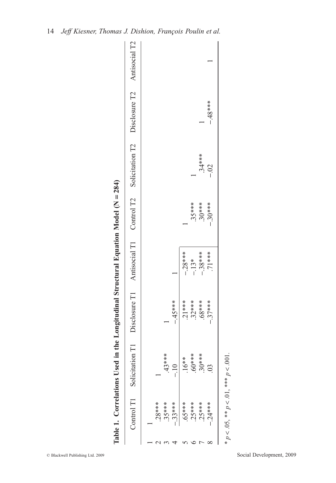|                                                | Table 1. Correlations Used in | the Longitudinal Structural Equation Model ( $N = 284$ ) |          |          |                                                                                       |          |  |
|------------------------------------------------|-------------------------------|----------------------------------------------------------|----------|----------|---------------------------------------------------------------------------------------|----------|--|
|                                                | Control T1 Solicitation       |                                                          |          |          | T1 Disclosure T1 Antisocial T1 Control T2 Solicitation T2 Disclosure T2 Antisocial T2 |          |  |
|                                                |                               |                                                          |          |          |                                                                                       |          |  |
| $.28***$                                       |                               |                                                          |          |          |                                                                                       |          |  |
| $.35***$                                       | $.43***$                      |                                                          |          |          |                                                                                       |          |  |
| $-33***$                                       | $\frac{1}{1}$                 | $-45***$                                                 |          |          |                                                                                       |          |  |
| $55*$                                          | 16**                          | $21***$                                                  | $-28***$ |          |                                                                                       |          |  |
| $.25***$                                       | $***00.6$                     | $.32***$                                                 | $-.13*$  | $.35***$ |                                                                                       |          |  |
| $.25***$                                       | $.30***$                      | $***88.$                                                 | $-38***$ | $.30***$ | $.34***$                                                                              |          |  |
| $.24***$                                       |                               | $-.37***$                                                | $.71***$ | $-30***$ | $-0.2$                                                                                | $-48***$ |  |
|                                                |                               |                                                          |          |          |                                                                                       |          |  |
| * $p < 0.05$ , ** $p < 0.1$ , *** $p < 0.01$ . |                               |                                                          |          |          |                                                                                       |          |  |
|                                                |                               |                                                          |          |          |                                                                                       |          |  |

| ļ                                 |
|-----------------------------------|
|                                   |
| ľ<br>ļ                            |
| ֘֒<br>j                           |
| $\overline{a}$<br>D<br>֚֚֚֬<br>֘֒ |
|                                   |
| l                                 |
| ֘֝֕<br>I<br>l<br>Ì                |
| í<br>ĺ<br>I                       |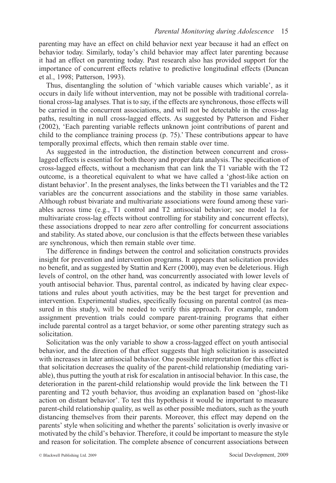parenting may have an effect on child behavior next year because it had an effect on behavior today. Similarly, today's child behavior may affect later parenting because it had an effect on parenting today. Past research also has provided support for the importance of concurrent effects relative to predictive longitudinal effects (Duncan et al., 1998; Patterson, 1993).

Thus, disentangling the solution of 'which variable causes which variable', as it occurs in daily life without intervention, may not be possible with traditional correlational cross-lag analyses. That is to say, if the effects are synchronous, those effects will be carried in the concurrent associations, and will not be detectable in the cross-lag paths, resulting in null cross-lagged effects. As suggested by Patterson and Fisher (2002), 'Each parenting variable reflects unknown joint contributions of parent and child to the compliance training process (p. 75).' These contributions appear to have temporally proximal effects, which then remain stable over time.

As suggested in the introduction, the distinction between concurrent and crosslagged effects is essential for both theory and proper data analysis. The specification of cross-lagged effects, without a mechanism that can link the T1 variable with the T2 outcome, is a theoretical equivalent to what we have called a 'ghost-like action on distant behavior'. In the present analyses, the links between the T1 variables and the T2 variables are the concurrent associations and the stability in those same variables. Although robust bivariate and multivariate associations were found among these variables across time (e.g., T1 control and T2 antisocial behavior; see model 1a for multivariate cross-lag effects without controlling for stability and concurrent effects), these associations dropped to near zero after controlling for concurrent associations and stability. As stated above, our conclusion is that the effects between these variables are synchronous, which then remain stable over time.

The difference in findings between the control and solicitation constructs provides insight for prevention and intervention programs. It appears that solicitation provides no benefit, and as suggested by Stattin and Kerr (2000), may even be deleterious. High levels of control, on the other hand, was concurrently associated with lower levels of youth antisocial behavior. Thus, parental control, as indicated by having clear expectations and rules about youth activities, may be the best target for prevention and intervention. Experimental studies, specifically focusing on parental control (as measured in this study), will be needed to verify this approach. For example, random assignment prevention trials could compare parent-training programs that either include parental control as a target behavior, or some other parenting strategy such as solicitation.

Solicitation was the only variable to show a cross-lagged effect on youth antisocial behavior, and the direction of that effect suggests that high solicitation is associated with increases in later antisocial behavior. One possible interpretation for this effect is that solicitation decreases the quality of the parent-child relationship (mediating variable), thus putting the youth at risk for escalation in antisocial behavior. In this case, the deterioration in the parent-child relationship would provide the link between the T1 parenting and T2 youth behavior, thus avoiding an explanation based on 'ghost-like action on distant behavior'. To test this hypothesis it would be important to measure parent-child relationship quality, as well as other possible mediators, such as the youth distancing themselves from their parents. Moreover, this effect may depend on the parents' style when soliciting and whether the parents' solicitation is overly invasive or motivated by the child's behavior. Therefore, it could be important to measure the style and reason for solicitation. The complete absence of concurrent associations between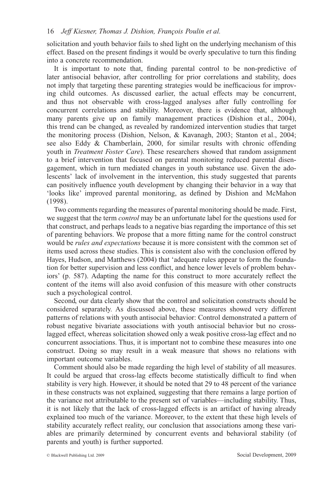solicitation and youth behavior fails to shed light on the underlying mechanism of this effect. Based on the present findings it would be overly speculative to turn this finding into a concrete recommendation.

It is important to note that, finding parental control to be non-predictive of later antisocial behavior, after controlling for prior correlations and stability, does not imply that targeting these parenting strategies would be inefficacious for improving child outcomes. As discussed earlier, the actual effects may be concurrent, and thus not observable with cross-lagged analyses after fully controlling for concurrent correlations and stability. Moreover, there is evidence that, although many parents give up on family management practices (Dishion et al., 2004), this trend can be changed, as revealed by randomized intervention studies that target the monitoring process (Dishion, Nelson, & Kavanagh, 2003; Stanton et al., 2004; see also Eddy & Chamberlain, 2000, for similar results with chronic offending youth in *Treatment Foster Care*). These researchers showed that random assignment to a brief intervention that focused on parental monitoring reduced parental disengagement, which in turn mediated changes in youth substance use. Given the adolescents' lack of involvement in the intervention, this study suggested that parents can positively influence youth development by changing their behavior in a way that 'looks like' improved parental monitoring, as defined by Dishion and McMahon (1998).

Two comments regarding the measures of parental monitoring should be made. First, we suggest that the term *control* may be an unfortunate label for the questions used for that construct, and perhaps leads to a negative bias regarding the importance of this set of parenting behaviors. We propose that a more fitting name for the control construct would be *rules and expectations* because it is more consistent with the common set of items used across these studies. This is consistent also with the conclusion offered by Hayes, Hudson, and Matthews (2004) that 'adequate rules appear to form the foundation for better supervision and less conflict, and hence lower levels of problem behaviors' (p. 587). Adapting the name for this construct to more accurately reflect the content of the items will also avoid confusion of this measure with other constructs such a psychological control.

Second, our data clearly show that the control and solicitation constructs should be considered separately. As discussed above, these measures showed very different patterns of relations with youth antisocial behavior: Control demonstrated a pattern of robust negative bivariate associations with youth antisocial behavior but no crosslagged effect, whereas solicitation showed only a weak positive cross-lag effect and no concurrent associations. Thus, it is important not to combine these measures into one construct. Doing so may result in a weak measure that shows no relations with important outcome variables.

Comment should also be made regarding the high level of stability of all measures. It could be argued that cross-lag effects become statistically difficult to find when stability is very high. However, it should be noted that 29 to 48 percent of the variance in these constructs was not explained, suggesting that there remains a large portion of the variance not attributable to the present set of variables—including stability. Thus, it is not likely that the lack of cross-lagged effects is an artifact of having already explained too much of the variance. Moreover, to the extent that these high levels of stability accurately reflect reality, our conclusion that associations among these variables are primarily determined by concurrent events and behavioral stability (of parents and youth) is further supported.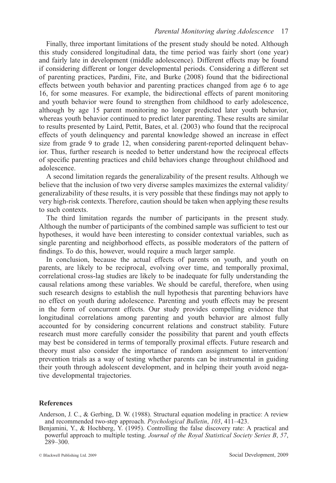Finally, three important limitations of the present study should be noted. Although this study considered longitudinal data, the time period was fairly short (one year) and fairly late in development (middle adolescence). Different effects may be found if considering different or longer developmental periods. Considering a different set of parenting practices, Pardini, Fite, and Burke (2008) found that the bidirectional effects between youth behavior and parenting practices changed from age 6 to age 16, for some measures. For example, the bidirectional effects of parent monitoring and youth behavior were found to strengthen from childhood to early adolescence, although by age 15 parent monitoring no longer predicted later youth behavior, whereas youth behavior continued to predict later parenting. These results are similar to results presented by Laird, Pettit, Bates, et al. (2003) who found that the reciprocal effects of youth delinquency and parental knowledge showed an increase in effect size from grade 9 to grade 12, when considering parent-reported delinquent behavior. Thus, further research is needed to better understand how the reciprocal effects of specific parenting practices and child behaviors change throughout childhood and adolescence.

A second limitation regards the generalizability of the present results. Although we believe that the inclusion of two very diverse samples maximizes the external validity/ generalizability of these results, it is very possible that these findings may not apply to very high-risk contexts. Therefore, caution should be taken when applying these results to such contexts.

The third limitation regards the number of participants in the present study. Although the number of participants of the combined sample was sufficient to test our hypotheses, it would have been interesting to consider contextual variables, such as single parenting and neighborhood effects, as possible moderators of the pattern of findings. To do this, however, would require a much larger sample.

In conclusion, because the actual effects of parents on youth, and youth on parents, are likely to be reciprocal, evolving over time, and temporally proximal, correlational cross-lag studies are likely to be inadequate for fully understanding the causal relations among these variables. We should be careful, therefore, when using such research designs to establish the null hypothesis that parenting behaviors have no effect on youth during adolescence. Parenting and youth effects may be present in the form of concurrent effects. Our study provides compelling evidence that longitudinal correlations among parenting and youth behavior are almost fully accounted for by considering concurrent relations and construct stability. Future research must more carefully consider the possibility that parent and youth effects may best be considered in terms of temporally proximal effects. Future research and theory must also consider the importance of random assignment to intervention/ prevention trials as a way of testing whether parents can be instrumental in guiding their youth through adolescent development, and in helping their youth avoid negative developmental trajectories.

#### **References**

Anderson, J. C., & Gerbing, D. W. (1988). Structural equation modeling in practice: A review and recommended two-step approach. *Psychological Bulletin*, *103*, 411–423.

Benjamini, Y., & Hochberg, Y. (1995). Controlling the false discovery rate: A practical and powerful approach to multiple testing. *Journal of the Royal Statistical Society Series B*, *57*, 289–300.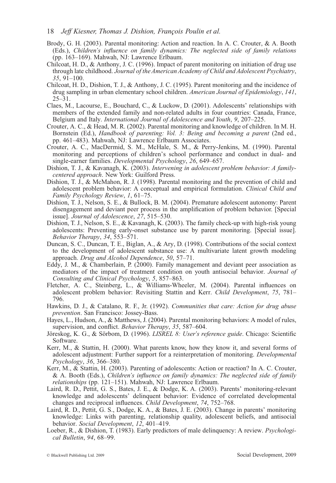- Brody, G. H. (2003). Parental monitoring: Action and reaction. In A. C. Crouter, & A. Booth (Eds.), *Children's influence on family dynamics: The neglected side of family relations* (pp. 163–169). Mahwah, NJ: Lawrence Erlbaum.
- Chilcoat, H. D., & Anthony, J. C. (1996). Impact of parent monitoring on initiation of drug use through late childhood. *Journal of the American Academy of Child and Adolescent Psychiatry*, *35*, 91–100.
- Chilcoat, H. D., Dishion, T. J., & Anthony, J. C. (1995). Parent monitoring and the incidence of drug sampling in urban elementary school children. *American Journal of Epidemiology*, *141*, 25–31.
- Claes, M., Lacourse, E., Bouchard, C., & Luckow, D. (2001). Adolescents' relationships with members of the extended family and non-related adults in four countries: Canada, France, Belgium and Italy. *International Journal of Adolescence and Youth*, *9*, 207–225.
- Crouter, A. C., & Head, M. R. (2002). Parental monitoring and knowledge of children. In M. H. Bornstein (Ed.), *Handbook of parenting: Vol. 3: Being and becoming a parent* (2nd ed., pp. 461–483). Mahwah, NJ: Lawrence Erlbaum Associates.
- Crouter, A. C., MacDermid, S. M., McHale, S. M., & Perry-Jenkins, M. (1990). Parental monitoring and perceptions of children's school performance and conduct in dual- and single-earner families. *Developmental Psychology*, *26*, 649–657.
- Dishion, T. J., & Kavanagh, K. (2003). *Intervening in adolescent problem behavior: A familycentered approach*. New York: Guilford Press.
- Dishion, T. J., & McMahon, R. J. (1998). Parental monitoring and the prevention of child and adolescent problem behavior: A conceptual and empirical formulation. *Clinical Child and Family Psychology Review*, *1*, 61–75.
- Dishion, T. J., Nelson, S. E., & Bullock, B. M. (2004). Premature adolescent autonomy: Parent disengagement and deviant peer process in the amplification of problem behavior. [Special issue]. *Journal of Adolescence*, *27*, 515–530.
- Dishion, T. J., Nelson, S. E., & Kavanagh, K. (2003). The family check-up with high-risk young adolescents: Preventing early-onset substance use by parent monitoring. [Special issue]. *Behavior Therapy*, *34*, 553–571.
- Duncan, S. C., Duncan, T. E., Biglan, A., & Ary, D. (1998). Contributions of the social context to the development of adolescent substance use: A multivariate latent growth modeling approach. *Drug and Alcohol Dependence*, *50*, 57–71.
- Eddy, J. M., & Chamberlain, P. (2000). Family management and deviant peer association as mediators of the impact of treatment condition on youth antisocial behavior. *Journal of Consulting and Clinical Psychology*, *5*, 857–863.
- Fletcher, A. C., Steinberg, L., & Williams-Wheeler, M. (2004). Parental influences on adolescent problem behavior: Revisiting Stattin and Kerr. *Child Development*, *75*, 781– 796.
- Hawkins, D. J., & Catalano, R. F., Jr. (1992). *Communities that care: Action for drug abuse prevention*. San Francisco: Jossey-Bass.
- Hayes, L., Hudson, A., & Matthews, J. (2004). Parental monitoring behaviors: A model of rules, supervision, and conflict. *Behavior Therapy*, *35*, 587–604.
- Jöreskog, K. G., & Sörbom, D. (1996). *LISREL 8: User's reference guide*. Chicago: Scientific Software.
- Kerr, M., & Stattin, H. (2000). What parents know, how they know it, and several forms of adolescent adjustment: Further support for a reinterpretation of monitoring. *Developmental Psychology*, *36*, 366–380.
- Kerr, M., & Stattin, H. (2003). Parenting of adolescents: Action or reaction? In A. C. Crouter, & A. Booth (Eds.), *Children's influence on family dynamics: The neglected side of family relationships* (pp. 121–151). Mahwah, NJ: Lawrence Erlbaum.
- Laird, R. D., Pettit, G. S., Bates, J. E., & Dodge, K. A. (2003). Parents' monitoring-relevant knowledge and adolescents' delinquent behavior: Evidence of correlated developmental changes and reciprocal influences. *Child Development*, *74*, 752–768.
- Laird, R. D., Pettit, G. S., Dodge, K. A., & Bates, J. E. (2003). Change in parents' monitoring knowledge: Links with parenting, relationship quality, adolescent beliefs, and antisocial behavior. *Social Development*, *12*, 401–419.
- Loeber, R., & Dishion, T. (1983). Early predictors of male delinquency: A review. *Psychological Bulletin*, *94*, 68–99.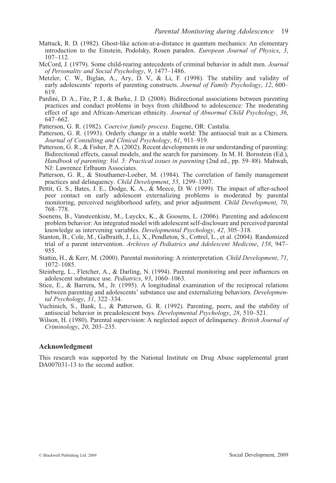- Mattuck, R. D. (1982). Ghost-like action-at-a-distance in quantum mechanics: An elementary introduction to the Einstein, Podolsky, Rosen paradox. *European Journal of Physics*, *3*, 107–112.
- McCord, J. (1979). Some child-rearing antecedents of criminal behavior in adult men. *Journal of Personality and Social Psychology*, *9*, 1477–1486.
- Metzler, C. W., Biglan, A., Ary, D. V., & Li, F. (1998). The stability and validity of early adolescents' reports of parenting constructs. *Journal of Family Psychology*, *12*, 600– 619.
- Pardini, D. A., Fite, P. J., & Burke, J. D. (2008). Bidirectional associations between parenting practices and conduct problems in boys from childhood to adolescence: The moderating effect of age and African-American ethnicity. *Journal of Abnormal Child Psychology*, *36*, 647–662.
- Patterson, G. R. (1982). *Coercive family process*. Eugene, OR: Castalia.
- Patterson, G. R. (1993). Orderly change in a stable world: The antisocial trait as a Chimera. *Journal of Consulting and Clinical Psychology*, *61*, 911–919.
- Patterson, G. R., & Fisher, P. A. (2002). Recent developments in our understanding of parenting: Bidirectional effects, causal models, and the search for parsimony. In M. H. Bornstein (Ed.), *Handbook of parenting: Vol. 5: Practical issues in parenting* (2nd ed., pp. 59–88). Mahwah, NJ: Lawrence Erlbaum Associates.
- Patterson, G. R., & Stouthamer-Loeber, M. (1984). The correlation of family management practices and delinquency. *Child Development*, *55*, 1299–1307.
- Pettit, G. S., Bates, J. E., Dodge, K. A., & Meece, D. W. (1999). The impact of after-school peer contact on early adolescent externalizing problems is moderated by parental monitoring, perceived neighborhood safety, and prior adjustment. *Child Development*, *70*, 768–778.
- Soenens, B., Vansteenkiste, M., Luyckx, K., & Goosens, L. (2006). Parenting and adolescent problem behavior: An integrated model with adolescent self-disclosure and perceived parental knowledge as intervening variables. *Developmental Psychology*, *42*, 305–318.
- Stanton, B., Cole, M., Galbraith, J., Li, X., Pendleton, S., Cottrel, L., et al. (2004). Randomized trial of a parent intervention. *Archives of Pediatrics and Adolescent Medicine*, *158*, 947– 955.
- Stattin, H., & Kerr, M. (2000). Parental monitoring: A reinterpretation. *Child Development*, *71*, 1072–1085.
- Steinberg, L., Fletcher, A., & Darling, N. (1994). Parental monitoring and peer influences on adolescent substance use. *Pediatrics*, *93*, 1060–1063.
- Stice, E., & Barrera, M., Jr. (1995). A longitudinal examination of the reciprocal relations between parenting and adolescents' substance use and externalizing behaviors. *Developmental Psychology*, *31*, 322–334.
- Vuchinich, S., Bank, L., & Patterson, G. R. (1992). Parenting, peers, and the stability of antisocial behavior in preadolescent boys. *Developmental Psychology*, *28*, 510–521.
- Wilson, H. (1980). Parental supervision: A neglected aspect of delinquency. *British Journal of Criminology*, *20*, 203–235.

#### **Acknowledgment**

This research was supported by the National Institute on Drug Abuse supplemental grant DA007031-13 to the second author.